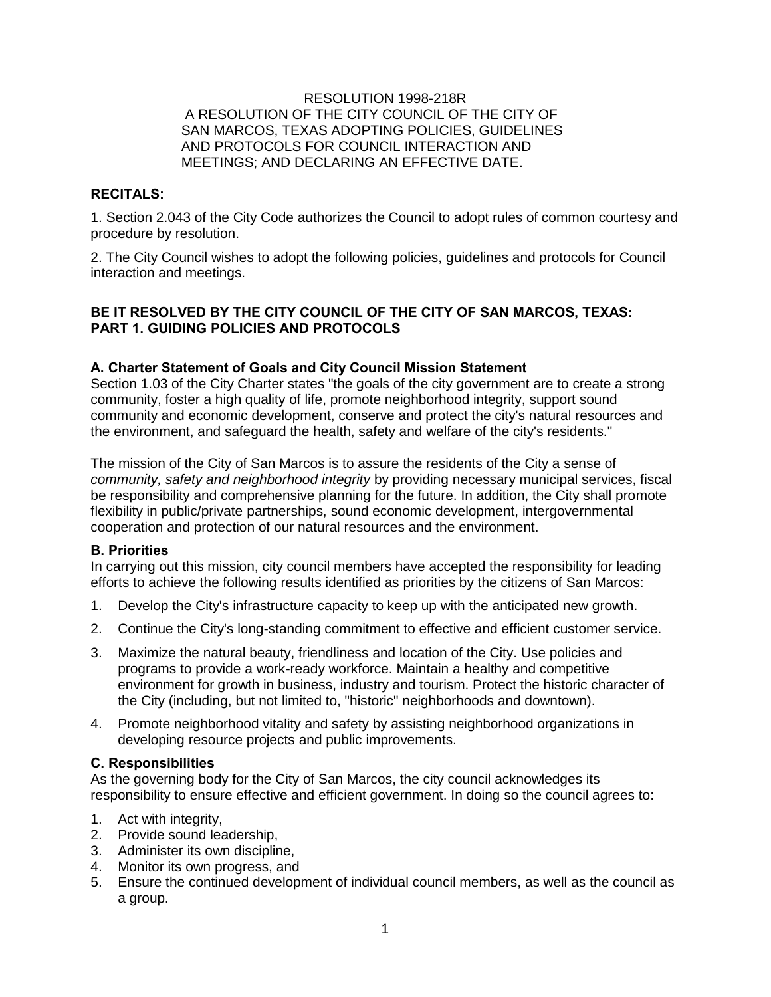#### RESOLUTION 1998-218R A RESOLUTION OF THE CITY COUNCIL OF THE CITY OF SAN MARCOS, TEXAS ADOPTING POLICIES, GUIDELINES AND PROTOCOLS FOR COUNCIL INTERACTION AND MEETINGS; AND DECLARING AN EFFECTIVE DATE.

### RECITALS:

1. Section 2.043 of the City Code authorizes the Council to adopt rules of common courtesy and procedure by resolution.

2. The City Council wishes to adopt the following policies, guidelines and protocols for Council interaction and meetings.

### BE IT RESOLVED BY THE CITY COUNCIL OF THE CITY OF SAN MARCOS, TEXAS: PART 1. GUIDING POLICIES AND PROTOCOLS

### A. Charter Statement of Goals and City Council Mission Statement

Section 1.03 of the City Charter states "the goals of the city government are to create a strong community, foster a high quality of life, promote neighborhood integrity, support sound community and economic development, conserve and protect the city's natural resources and the environment, and safeguard the health, safety and welfare of the city's residents."

The mission of the City of San Marcos is to assure the residents of the City a sense of *community, safety and neighborhood integrity* by providing necessary municipal services, fiscal be responsibility and comprehensive planning for the future. In addition, the City shall promote flexibility in public/private partnerships, sound economic development, intergovernmental cooperation and protection of our natural resources and the environment.

#### B. Priorities

In carrying out this mission, city council members have accepted the responsibility for leading efforts to achieve the following results identified as priorities by the citizens of San Marcos:

- 1. Develop the City's infrastructure capacity to keep up with the anticipated new growth.
- 2. Continue the City's long-standing commitment to effective and efficient customer service.
- 3. Maximize the natural beauty, friendliness and location of the City. Use policies and programs to provide a work-ready workforce. Maintain a healthy and competitive environment for growth in business, industry and tourism. Protect the historic character of the City (including, but not limited to, "historic" neighborhoods and downtown).
- 4. Promote neighborhood vitality and safety by assisting neighborhood organizations in developing resource projects and public improvements.

#### C. Responsibilities

As the governing body for the City of San Marcos, the city council acknowledges its responsibility to ensure effective and efficient government. In doing so the council agrees to:

- 1. Act with integrity,
- 2. Provide sound leadership,
- 3. Administer its own discipline,
- 4. Monitor its own progress, and
- 5. Ensure the continued development of individual council members, as well as the council as a group.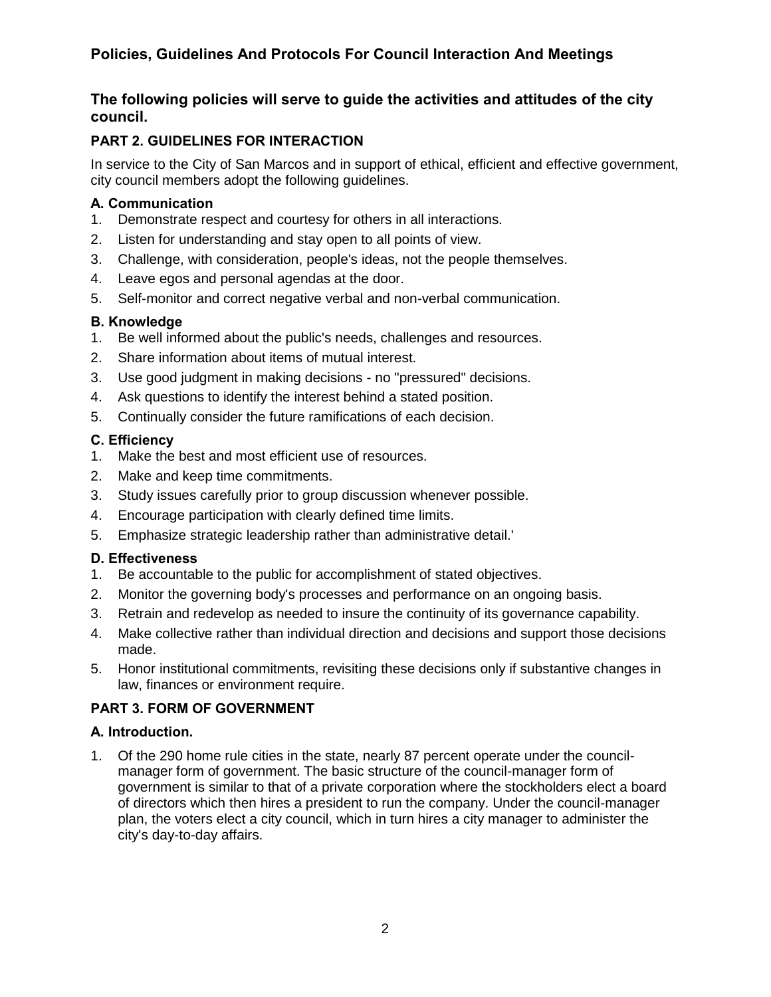## The following policies will serve to guide the activities and attitudes of the city council.

## PART 2. GUlDELlNES FOR INTERACTION

In service to the City of San Marcos and in support of ethical, efficient and effective government, city council members adopt the following guidelines.

### A. Communication

- 1. Demonstrate respect and courtesy for others in all interactions.
- 2. Listen for understanding and stay open to all points of view.
- 3. Challenge, with consideration, people's ideas, not the people themselves.
- 4. Leave egos and personal agendas at the door.
- 5. Self-monitor and correct negative verbal and non-verbal communication.

## B. Knowledge

- 1. Be well informed about the public's needs, challenges and resources.
- 2. Share information about items of mutual interest.
- 3. Use good judgment in making decisions no "pressured" decisions.
- 4. Ask questions to identify the interest behind a stated position.
- 5. Continually consider the future ramifications of each decision.

### C. Efficiency

- 1. Make the best and most efficient use of resources.
- 2. Make and keep time commitments.
- 3. Study issues carefully prior to group discussion whenever possible.
- 4. Encourage participation with clearly defined time limits.
- 5. Emphasize strategic leadership rather than administrative detail.'

### D. Effectiveness

- 1. Be accountable to the public for accomplishment of stated objectives.
- 2. Monitor the governing body's processes and performance on an ongoing basis.
- 3. Retrain and redevelop as needed to insure the continuity of its governance capability.
- 4. Make collective rather than individual direction and decisions and support those decisions made.
- 5. Honor institutional commitments, revisiting these decisions only if substantive changes in law, finances or environment require.

## PART 3. FORM OF GOVERNMENT

## A. Introduction.

1. Of the 290 home rule cities in the state, nearly 87 percent operate under the councilmanager form of government. The basic structure of the council-manager form of government is similar to that of a private corporation where the stockholders elect a board of directors which then hires a president to run the company. Under the council-manager plan, the voters elect a city council, which in turn hires a city manager to administer the city's day-to-day affairs.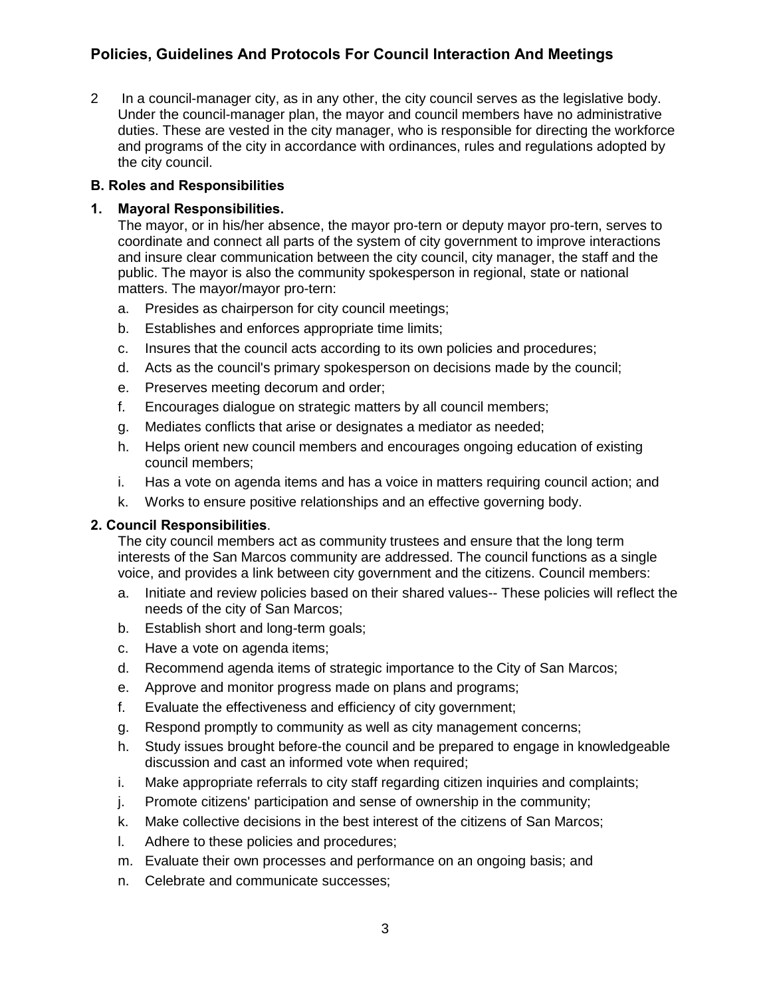2 In a council-manager city, as in any other, the city council serves as the legislative body. Under the council-manager plan, the mayor and council members have no administrative duties. These are vested in the city manager, who is responsible for directing the workforce and programs of the city in accordance with ordinances, rules and regulations adopted by the city council.

### B. Roles and Responsibilities

### 1. Mayoral Responsibilities.

The mayor, or in his/her absence, the mayor pro-tern or deputy mayor pro-tern, serves to coordinate and connect all parts of the system of city government to improve interactions and insure clear communication between the city council, city manager, the staff and the public. The mayor is also the community spokesperson in regional, state or national matters. The mayor/mayor pro-tern:

- a. Presides as chairperson for city council meetings;
- b. Establishes and enforces appropriate time limits;
- c. Insures that the council acts according to its own policies and procedures;
- d. Acts as the council's primary spokesperson on decisions made by the council;
- e. Preserves meeting decorum and order;
- f. Encourages dialogue on strategic matters by all council members;
- g. Mediates conflicts that arise or designates a mediator as needed;
- h. Helps orient new council members and encourages ongoing education of existing council members;
- i. Has a vote on agenda items and has a voice in matters requiring council action; and
- k. Works to ensure positive relationships and an effective governing body.

### 2. Council Responsibilities.

The city council members act as community trustees and ensure that the long term interests of the San Marcos community are addressed. The council functions as a single voice, and provides a link between city government and the citizens. Council members:

- a. Initiate and review policies based on their shared values-- These policies will reflect the needs of the city of San Marcos;
- b. Establish short and long-term goals;
- c. Have a vote on agenda items;
- d. Recommend agenda items of strategic importance to the City of San Marcos;
- e. Approve and monitor progress made on plans and programs;
- f. Evaluate the effectiveness and efficiency of city government;
- g. Respond promptly to community as well as city management concerns;
- h. Study issues brought before-the council and be prepared to engage in knowledgeable discussion and cast an informed vote when required;
- i. Make appropriate referrals to city staff regarding citizen inquiries and complaints;
- j. Promote citizens' participation and sense of ownership in the community;
- k. Make collective decisions in the best interest of the citizens of San Marcos;
- l. Adhere to these policies and procedures;
- m. Evaluate their own processes and performance on an ongoing basis; and
- n. Celebrate and communicate successes;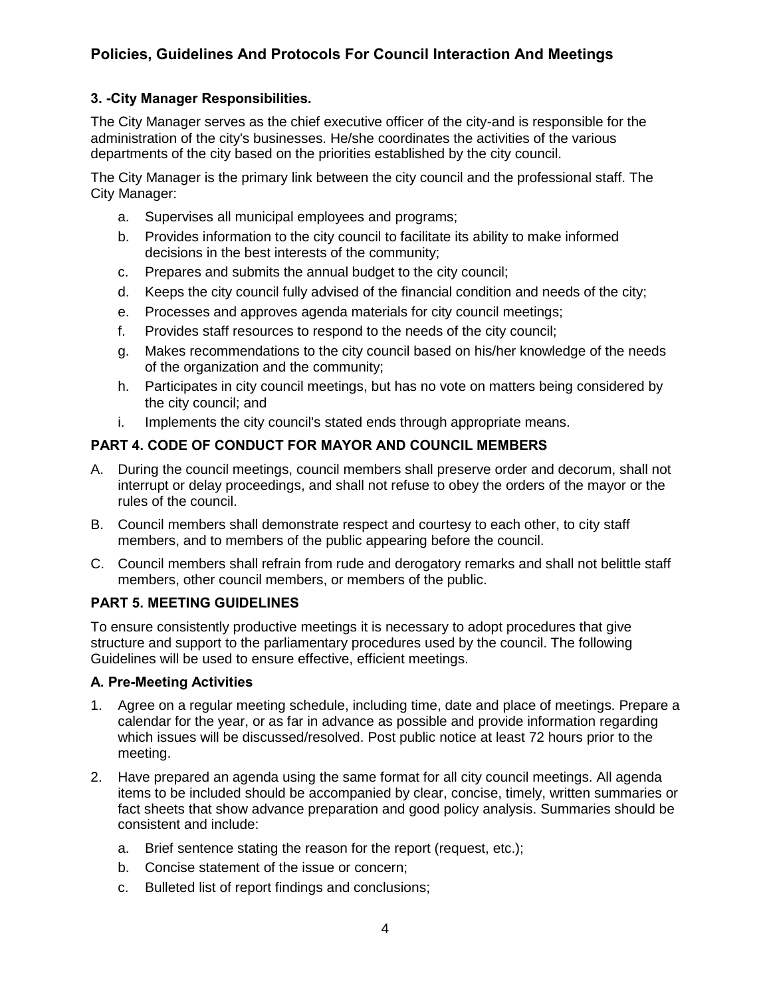### 3. -City Manager Responsibilities.

The City Manager serves as the chief executive officer of the city-and is responsible for the administration of the city's businesses. He/she coordinates the activities of the various departments of the city based on the priorities established by the city council.

The City Manager is the primary link between the city council and the professional staff. The City Manager:

- a. Supervises all municipal employees and programs;
- b. Provides information to the city council to facilitate its ability to make informed decisions in the best interests of the community;
- c. Prepares and submits the annual budget to the city council;
- d. Keeps the city council fully advised of the financial condition and needs of the city;
- e. Processes and approves agenda materials for city council meetings;
- f. Provides staff resources to respond to the needs of the city council;
- g. Makes recommendations to the city council based on his/her knowledge of the needs of the organization and the community;
- h. Participates in city council meetings, but has no vote on matters being considered by the city council; and
- i. Implements the city council's stated ends through appropriate means.

### PART 4. CODE OF CONDUCT FOR MAYOR AND COUNCIL MEMBERS

- A. During the council meetings, council members shall preserve order and decorum, shall not interrupt or delay proceedings, and shall not refuse to obey the orders of the mayor or the rules of the council.
- B. Council members shall demonstrate respect and courtesy to each other, to city staff members, and to members of the public appearing before the council.
- C. Council members shall refrain from rude and derogatory remarks and shall not belittle staff members, other council members, or members of the public.

### PART 5. MEETING GUIDELINES

To ensure consistently productive meetings it is necessary to adopt procedures that give structure and support to the parliamentary procedures used by the council. The following Guidelines will be used to ensure effective, efficient meetings.

#### A. Pre-Meeting Activities

- 1. Agree on a regular meeting schedule, including time, date and place of meetings. Prepare a calendar for the year, or as far in advance as possible and provide information regarding which issues will be discussed/resolved. Post public notice at least 72 hours prior to the meeting.
- 2. Have prepared an agenda using the same format for all city council meetings. All agenda items to be included should be accompanied by clear, concise, timely, written summaries or fact sheets that show advance preparation and good policy analysis. Summaries should be consistent and include:
	- a. Brief sentence stating the reason for the report (request, etc.);
	- b. Concise statement of the issue or concern;
	- c. Bulleted list of report findings and conclusions;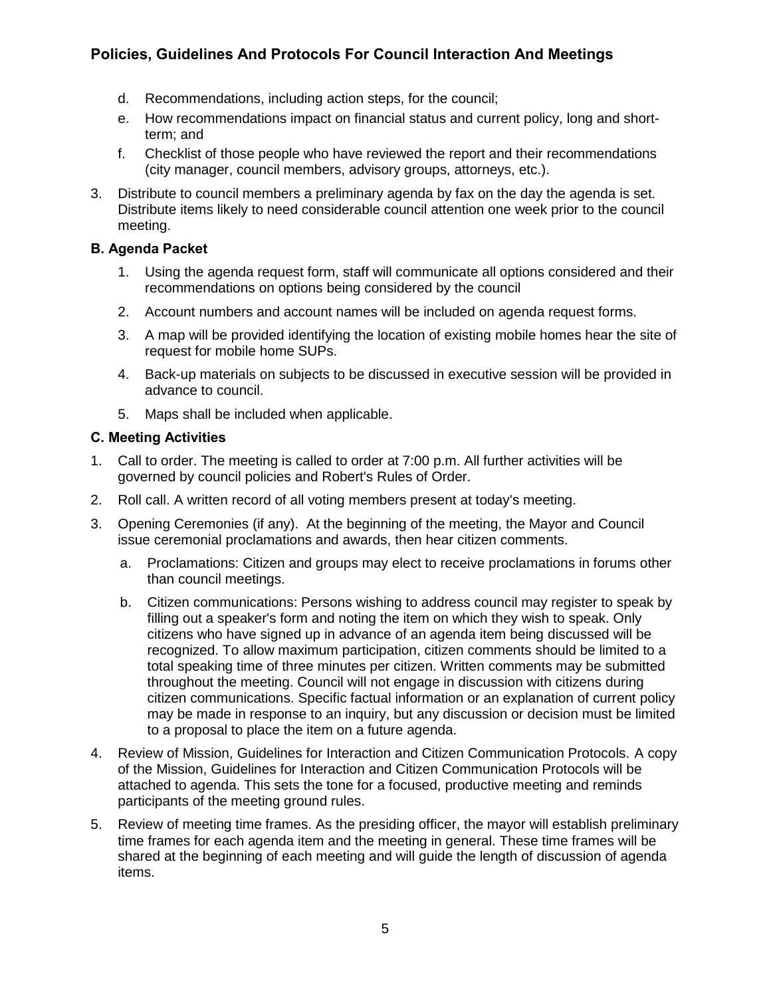- d. Recommendations, including action steps, for the council;
- e. How recommendations impact on financial status and current policy, long and shortterm; and
- f. Checklist of those people who have reviewed the report and their recommendations (city manager, council members, advisory groups, attorneys, etc.).
- 3. Distribute to council members a preliminary agenda by fax on the day the agenda is set. Distribute items likely to need considerable council attention one week prior to the council meeting.

### B. Agenda Packet

- 1. Using the agenda request form, staff will communicate all options considered and their recommendations on options being considered by the council
- 2. Account numbers and account names will be included on agenda request forms.
- 3. A map will be provided identifying the location of existing mobile homes hear the site of request for mobile home SUPs.
- 4. Back-up materials on subjects to be discussed in executive session will be provided in advance to council.
- 5. Maps shall be included when applicable.

### C. Meeting Activities

- 1. Call to order. The meeting is called to order at 7:00 p.m. All further activities will be governed by council policies and Robert's Rules of Order.
- 2. Roll call. A written record of all voting members present at today's meeting.
- 3. Opening Ceremonies (if any). At the beginning of the meeting, the Mayor and Council issue ceremonial proclamations and awards, then hear citizen comments.
	- a. Proclamations: Citizen and groups may elect to receive proclamations in forums other than council meetings.
	- b. Citizen communications: Persons wishing to address council may register to speak by filling out a speaker's form and noting the item on which they wish to speak. Only citizens who have signed up in advance of an agenda item being discussed will be recognized. To allow maximum participation, citizen comments should be limited to a total speaking time of three minutes per citizen. Written comments may be submitted throughout the meeting. Council will not engage in discussion with citizens during citizen communications. Specific factual information or an explanation of current policy may be made in response to an inquiry, but any discussion or decision must be limited to a proposal to place the item on a future agenda.
- 4. Review of Mission, Guidelines for Interaction and Citizen Communication Protocols. A copy of the Mission, Guidelines for Interaction and Citizen Communication Protocols will be attached to agenda. This sets the tone for a focused, productive meeting and reminds participants of the meeting ground rules.
- 5. Review of meeting time frames. As the presiding officer, the mayor will establish preliminary time frames for each agenda item and the meeting in general. These time frames will be shared at the beginning of each meeting and will guide the length of discussion of agenda items.